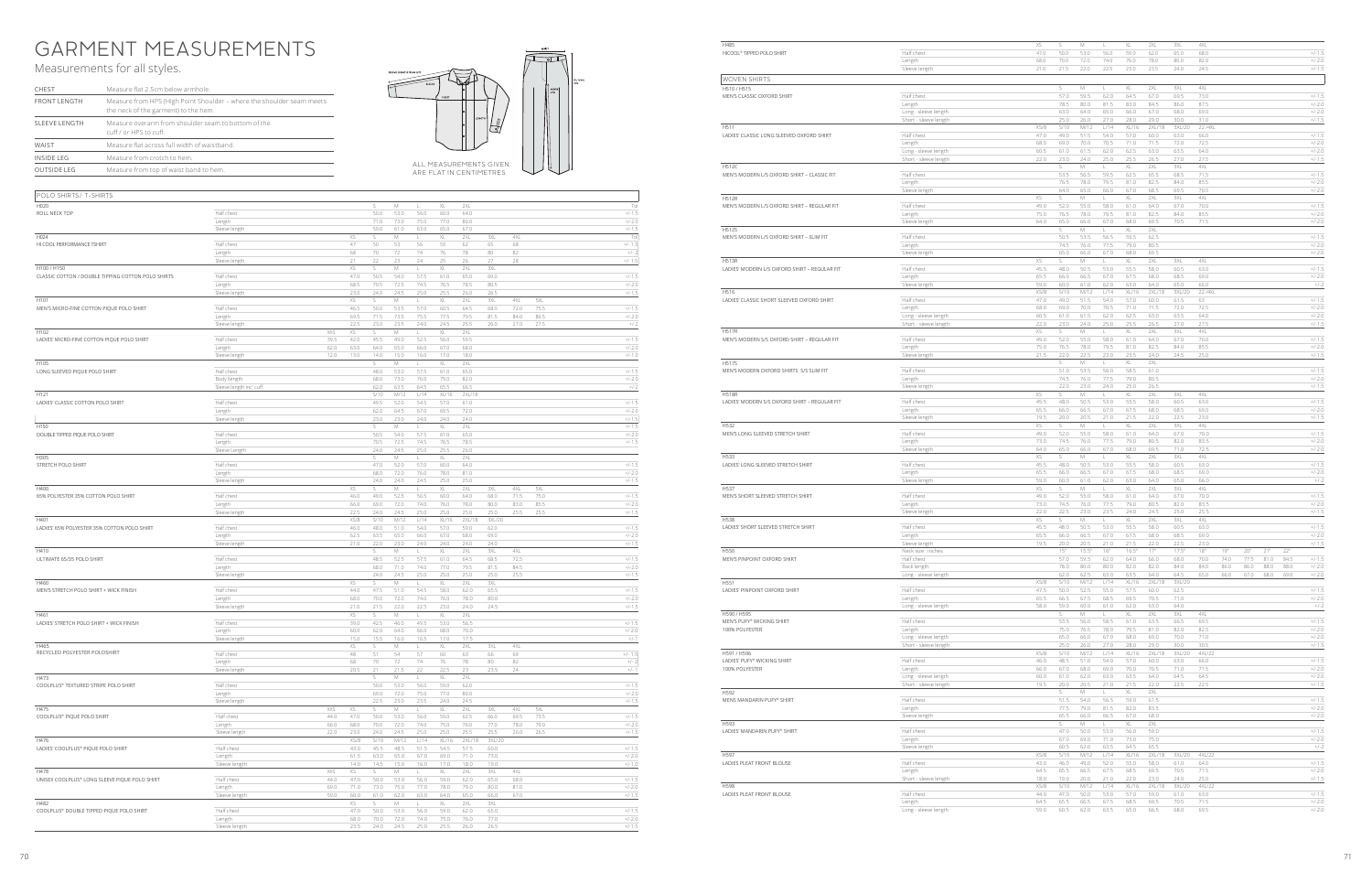## GARMENT MEASUREMENTS

## Measurements for all styles.



| CHEST                                                                                          | Measure flat 2.5cm below armhole.                                                                             |  |  |  |  |  |  |
|------------------------------------------------------------------------------------------------|---------------------------------------------------------------------------------------------------------------|--|--|--|--|--|--|
| <b>FRONT LENGTH</b>                                                                            | Measure from HPS (High Point Shoulder - where the shoulder seam meets<br>the neck of the garment) to the hem. |  |  |  |  |  |  |
| Measure overarm from shoulder seam to bottom of the<br>SLEEVE LENGTH<br>cuff / or HPS to cuff. |                                                                                                               |  |  |  |  |  |  |
| WAIST                                                                                          | Measure flat across full width of waistband.                                                                  |  |  |  |  |  |  |
| <b>INSIDE LEG</b>                                                                              | Measure from crotch to hem.                                                                                   |  |  |  |  |  |  |
| <b>OUTSIDE LEG</b>                                                                             | Measure from top of waist band to hem.                                                                        |  |  |  |  |  |  |

| POLO SHIRTS/ T-SHIRTS                              |                         |            |                   |              |              |              |              |              |              |              |              |                      |
|----------------------------------------------------|-------------------------|------------|-------------------|--------------|--------------|--------------|--------------|--------------|--------------|--------------|--------------|----------------------|
| H020                                               |                         |            |                   | S            | M            | L            | XL           | 2XL          |              |              |              | Tol                  |
| ROLL NECK TOP                                      | Half chest              |            |                   | 50.0         | 53.0         | 56.0         | 60.0         | 64.0         |              |              |              | $+/-1.5$             |
|                                                    | Length                  |            |                   | 71.0         | 73.0         | 75.0         | 77.0         | 80.0         |              |              |              | $+/-2.0$             |
|                                                    | Sleeve length           |            |                   | 59.0         | 61.0         | 63.0         | 65.0         | 67.0         |              |              |              | $+/-1.5$             |
| H024                                               |                         |            | XS                | s            | M            | L.           | XL           | 2XL          | 3XL          | 4XL          |              | Tol                  |
| HI COOL PERFORMANCE TSHIRT                         | Half chest              |            | 47                | 50           | 53           | 56           | 59           | 62           | 65           | 68           |              | $+/- 1.5$            |
|                                                    | Length                  |            | 68                | 70           | 72           | 74           | 76           | 78           | 80           | 82           |              | $+/- 2$              |
|                                                    | Sleeve length           |            | 21                | 22           | 23           | 24           | 25           | 26           | 27           | 28           |              | $+/- 1.5$            |
| H100 / H150                                        |                         |            | XS                | s            | M            | L            | XL           | 2XL          | 3XL          |              |              |                      |
| CLASSIC COTTON / DOUBLE TIPPING COTTON POLO SHIRTS | Half chest              |            | 47.0              | 50.5         | 54.0         | 57.5         | 61.0         | 65.0         | 69.0         |              |              | $+/-1.5$             |
|                                                    | Length                  |            | 68.5              | 70.5         | 72.5         | 74.5         | 76.5         | 78.5         | 80.5         |              |              | $+/-2.0$             |
|                                                    | Sleeve length           |            | 23.0              | 24.0         | 24.5         | 25.0         | 25.5         | 26.0         | 26.5         |              |              | $+/-1.5$             |
| H101                                               |                         |            | XS                | S.           | М            | L.           | XL           | 2XL          | 3XL          | 4XL          | 5XL          |                      |
| MEN'S MICRO-FINE COTTON PIQUE POLO SHIRT           | Half chest              |            | 46.5              | 50.0         | 53.5         | 57.0         | 60.5         | 64.5         | 68.0         | 72.0         | 75.5         | $+/-1.5$             |
|                                                    | Length<br>Sleeve length |            | 69.5<br>22.5      | 71.5<br>23.0 | 73.5<br>23.5 | 75.5<br>24.0 | 77.5<br>24.5 | 79.5<br>25.5 | 81.5<br>26.0 | 84.0<br>27.0 | 86.5<br>27.5 | $+/-2.0$<br>$+/-2$   |
| H102                                               |                         | XXS        | XS                | S            | M            | L            | XL           | 2XL          |              |              |              |                      |
| LADIES' MICRO-FINE COTTON PIQUE POLO SHIRT         | Half chest              | 39.5       | 42.0              | 45.5         | 49.0         | 52.5         | 56.0         | 59.5         |              |              |              | $+/-15$              |
|                                                    | Length                  | 62.0       | 63.0              | 64.0         | 65.0         | 66.0         | 67.0         | 68.0         |              |              |              | $+/-2.0$             |
|                                                    | Sleeve length           | 12.0       | 13.0              | 14.0         | 15.0         | 16.0         | 17.0         | 18.0         |              |              |              | $+/-1.0$             |
| H105                                               |                         |            |                   | S            | M            | L.           | XL.          | 2XL          |              |              |              |                      |
| LONG SLEEVED PIQUE POLO SHIRT                      | Half chest              |            |                   | 48.0         | 53.0         | 57.5         | 61.0         | 65.0         |              |              |              | $+/-1.5$             |
|                                                    | Body llength            |            |                   | 68.0         | 73.0         | 76.0         | 79.0         | 82.0         |              |              |              | $+/-2.0$             |
|                                                    | Sleeve length inc' cuff |            |                   | 62.0         | 63.5         | 64.5         | 65.5         | 66.5         |              |              |              | $+/-2$               |
| H121                                               |                         |            |                   | S/10         | M/12         | L/14         | XL/16        | 2XL/18       |              |              |              |                      |
| LADIES' CLASSIC COTTON POLO SHIRT                  | Half chest              |            |                   | 49.5         | 52.0         | 54.5         | 57.0         | 61.0         |              |              |              | $+/-1.5$             |
|                                                    | Length                  |            |                   | 62.0         | 64.5         | 67.0         | 69.5         | 72.0         |              |              |              | $+/-2.0$             |
| H150                                               | Sleeve length           |            |                   | 23.0<br>s    | 23.0<br>М    | 24.0<br>L.   | 24.0<br>XL   | 24.0<br>2XL  |              |              |              | $+/-1.5$<br>$+/-1.5$ |
| DOUBLE TIPPED PIQUE POLO SHIRT                     | Half chest              |            |                   | 50.5         | 54.0         | 57.5         | 61.0         | 65.0         |              |              |              | $+/-2.0$             |
|                                                    | Length                  |            |                   | 70.5         | 72.5         | 74.5         | 76.5         | 78.5         |              |              |              | $+/-1.5$             |
|                                                    | Sleeve Length           |            |                   | 24.0         | 24.5         | 25.0         | 25.5         | 26.0         |              |              |              |                      |
| H305                                               |                         |            |                   | S.           | M            | L.           | XL           | 2XL          |              |              |              |                      |
| STRETCH POLO SHIRT                                 | Half chest              |            |                   | 47.0         | 52.0         | 57.0         | 60.0         | 64.0         |              |              |              | $+/-1.5$             |
|                                                    | Length                  |            |                   | 68.0         | 72.0         | 76.0         | 78.0         | 81.0         |              |              |              | $+/-2.0$             |
|                                                    | Sleeve length           |            |                   | 24.0         | 24.0         | 24.5         | 25.0         | 25.0         |              |              |              | $+/-1.5$             |
| H400                                               |                         |            | XS                | S.           | M            | L            | XL           | 2XL          | 3XL          | 4XL          | 5XL          |                      |
| 65% POLYESTER 35% COTTON POLO SHIRT                | Half chest              |            | 46.0              | 49.0         | 52.5         | 56.5         | 60.0         | 64.0         | 68.0         | 71.5         | 75.0         | $+/-1.5$             |
|                                                    | Length                  |            | 66.0<br>22.5      | 69.0<br>24.0 | 72.0<br>24.5 | 74.0<br>25.0 | 76.0<br>25.0 | 78.0<br>25.0 | 80.0<br>25.0 | 83.0<br>25.5 | 85.5<br>25.5 | $+/-2.0$<br>$+/-1.5$ |
| H401                                               | Sleeve length           |            | XS/8              | S/10         | M/12         | L/14         | XL/16        | 2XL/18       | 3XL/20       |              |              |                      |
| LADIES' 65% POLYESTER 35% COTTON POLO SHIRT        | Half chest              |            | 46.0              | 48.0         | 51.0         | 54.0         | 57.0         | 59.0         | 62.0         |              |              | $+/-1.5$             |
|                                                    | Length                  |            | 62.5              | 63.5         | 65.0         | 66.0         | 67.0         | 68.0         | 69.0         |              |              | $+/-2.0$             |
|                                                    | Sleeve length           |            | 21.0              | 22.0         | 23.0         | 24.0         | 24.0         | 24.0         | 24.0         |              |              | $+/-1.5$             |
| H410                                               |                         |            |                   | S.           | M            | L.           | XL           | 2XL          | 3XL          | 4XL          |              |                      |
| ULTIMATE 65/35 POLO SHIRT                          | Half chest              |            |                   | 48.5         | 52.5         | 57.5         | 61.0         | 64.5         | 68.5         | 72.5         |              | $+/-1.5$             |
|                                                    | Length                  |            |                   | 68.0         | 71.0         | 74.0         | 77.0         | 79.5         | 81.5         | 84.5         |              | $+/-2.0$             |
|                                                    | Sleeve length           |            |                   | 24.0         | 24.5         | 25.0         | 25.0         | 25.0         | 25.0         | 25.5         |              | $+/-1.5$             |
| H460                                               |                         |            | XS                | S.           | M            | L.           | XL           | 2XL          | 3XL          |              |              |                      |
| MEN'S STRETCH POLO SHIRT + WICK FINISH             | Half chest              |            | 44.0              | 47.5         | 51.0         | 54.5         | 58.0         | 62.0         | 65.5         |              |              | $+/-1.5$             |
|                                                    | Length                  |            | 68.0              | 70.0         | 72.0         | 74.0         | 76.0         | 78.0         | 80.0         |              |              | $+/-2.0$             |
|                                                    | Sleeve length           |            | 21.0<br>XS        | 21.5<br>S    | 22.0<br>M    | 22.5         | 23.0         | 24.0         | 24.5         |              |              | $+/-1.5$             |
| H461<br>LADIES' STRETCH POLO SHIRT + WICK FINISH   | Half chest              |            | 39.0              | 42.5         | 46.0         | 49.5         | XL<br>53.0   | 2XL<br>56.5  |              |              |              | $+/-1.5$             |
|                                                    | Length                  |            | 60.0              | 62.0         | 64.0         | 66.0         | 68.0         | 70.0         |              |              |              | $+/-2.0$             |
|                                                    | Sleeve length           |            | 15.0              | 15.5         | 16.0         | 16.5         | 17.0         | 17.5         |              |              |              | $+/-1$               |
| H465                                               |                         |            | XS                | s            | М            | L            | XL           | 2XL          | 3XL          | 4XL          |              |                      |
| RECYCLED POLYESTER POLOSHIRT                       | Half chest              |            | 48                | 51           | 54           | 57           | 60           | 63           | 66           | 69           |              | $+/- 1.5$            |
|                                                    | Length                  |            | 68                | 70           | 72           | 74           | 76           | 78           | 80           | 82           |              | $+/- 2$              |
|                                                    | Sleeve length           |            | 20.5              | 21           | 21.5         | 22           | 22.5         | 23           | 23.5         | 24           |              | $+/- 1$              |
| H473                                               |                         |            |                   | S            | M            | L            | XL           | 2XL          |              |              |              |                      |
| COOLPLUS® TEXTURED STRIPE POLO SHIRT               | Half chest              |            |                   | 50.0         | 53.0         | 56.0         | 59.0         | 62.0         |              |              |              | $+/-15$              |
|                                                    | Length                  |            |                   | 69.0<br>22.5 | 72.0<br>23.0 | 75.0<br>23.5 | 77.0<br>24.0 | 80.0<br>24.5 |              |              |              | $+/-2.0$<br>$+/-1.5$ |
| H475                                               | Sleeve length           | XXS        | XS                | S            | М            | L            | XL           | 2XL          | 3XL          | 4XL          | 5XL          |                      |
| COOLPLUS® PIQUE POLO SHIRT                         | Half chest              | 44.0       | 47.0              | 50.0         | 53.0         | 56.0         | 59.0         | 62.5         | 66.0         | 69.5         | 73.5         | $+/-1.5$             |
|                                                    | Length                  | 66.0       | 68.0              | 70.0         | 72.0         | 74.0         | 75.0         | 76.0         | 77.0         | 78.0         | 79.0         | $+/-2.0$             |
|                                                    | Sleeve length           | 22.0       | 23.0              | 24.0         | 24.5         | 25.0         | 25.0         | 25.5         | 25.5         | 26.0         | 26.5         | $+/-1.5$             |
| H476                                               |                         |            | X <sub>S</sub> /8 | S/10         | M/12         | L/14         | XL/16        | 2XL/18       | 3XL/20       |              |              |                      |
| LADIES' COOLPLUS® PIQUE POLO SHIRT                 | Half chest              |            | 43.0              | 45.5         | 48.5         | 51.5         | 54.5         | 57.5         | 60.0         |              |              | $+/-1.5$             |
|                                                    | Length                  |            | 61.5              | 63.0         | 65.0         | 67.0         | 69.0         | 71.0         | 73.0         |              |              | $+/-2.0$             |
|                                                    | Sleeve length           |            | 14.0              | 14.5         | 15.0         | 16.0         | 17.0         | 18.0         | 19.0         |              |              | $+/-1.0$             |
| H478                                               |                         | <b>XXS</b> | XS                | S.           | M            | L.           | XL           | 2XL          | 3XL          | 4XL          |              |                      |
| UNISEX COOLPLUS® LONG SLEEVE PIQUE POLO SHIRT      | Half chest              | 44.0       | 47.0              | 50.0         | 53.0         | 56.0         | 59.0         | 62.0         | 65.0         | 68.0         |              | $+/-1.5$             |
|                                                    | Length                  | 69.0       | 71.0              | 73.0         | 75.0         | 77.0         | 78.0         | 79.0         | 80.0         | 81.0         |              | $+/-2.0$             |
| H482                                               | Sleeve length           | 59.0       | 60.0<br>XS        | 61.0<br>S.   | 62.0<br>M    | 63.0<br>L.   | 64.0<br>XL   | 65.0<br>2XL  | 66.0<br>3XL  | 67.0         |              | $+/-1.5$             |
| COOLPLUS® DOUBLE TIPPED PIQUE POLO SHIRT           | Half chest              |            | 47.0              | 50.0         | 53.0         | 56.0         | 59.0         | 62.0         | 65.0         |              |              | $+/-1.5$             |
|                                                    | Length                  |            | 68.0              | 70.0         | 72.0         | 74.0         | 75.0         | 76.0         | 77.0         |              |              | $+/-2.0$             |
|                                                    | Sleeve length           |            | 23.5              | 24.0         | 24.5         | 25.0         | 25.5         | 26.0         | 26.5         |              |              | $+/-1.5$             |

| HICOOL® TIPPED POLO SHIRT                     | Half chest              | 47.0 | 50.0 | 53.0 | 56.0         | 59.0  | 62.0   | 65.0   | 68.0     |      |      |      |      | $+/-1.5$ |
|-----------------------------------------------|-------------------------|------|------|------|--------------|-------|--------|--------|----------|------|------|------|------|----------|
|                                               | Length                  | 68.0 | 70.0 | 72.0 | 74.0         | 76.0  | 78.0   | 80.0   | 82.0     |      |      |      |      | $+/-2.0$ |
|                                               | Sleeve length           | 21.0 | 21.5 | 22.0 | 22.5         | 23.0  | 23.5   | 24.0   | 24.5     |      |      |      |      | $+/-1.5$ |
|                                               |                         |      |      |      |              |       |        |        |          |      |      |      |      |          |
| <b>WOVEN SHIRTS</b>                           |                         |      |      |      |              |       |        |        |          |      |      |      |      |          |
| H510 / H515                                   |                         |      | S    | M    | L            | XL    | 2XL    | 3XL    | 4XL      |      |      |      |      |          |
| MEN'S CLASSIC OXFORD SHIRT                    | Half chest              |      | 57.0 | 59.5 | 62.0         | 64.5  | 67.0   | 69.5   | 73.0     |      |      |      |      | $+/-1.5$ |
|                                               | Length                  |      | 78.5 | 80.0 | 81.5         | 83.0  | 84.5   | 86.0   | 87.5     |      |      |      |      | $+/-2.0$ |
|                                               | Long - sleeve length    |      | 63.0 | 64.0 | 65.0         | 66.0  | 67.0   | 68.0   | 69.0     |      |      |      |      | $+/-2.0$ |
|                                               | Short - sleeve length   |      | 25.0 | 26.0 | 27.0         | 28.0  | 29.0   | 30.0   | 31.0     |      |      |      |      | $+/-1.5$ |
| H511                                          |                         | XS/8 | S/10 | M/12 | L/14         | XL/16 | 2XL/18 | 3XL/20 | 22 / 4XL |      |      |      |      |          |
| LADIES' CLASSIC LONG SLEEVED OXFORD SHIRT     | Half chest              | 47.0 | 49.0 | 51.5 | 54.0         | 57.0  | 60.0   | 63.0   | 66.0     |      |      |      |      | $+/-1.5$ |
|                                               |                         | 68.0 | 69.0 | 70.0 | 70.5         | 71.0  | 71.5   | 72.0   | 72.5     |      |      |      |      | $+/-2.0$ |
|                                               | Length                  |      |      |      |              |       |        |        |          |      |      |      |      |          |
|                                               | Long - sleeve length    | 60.5 | 61.0 | 61.5 | 62.0         | 62.5  | 63.0   | 63.5   | 64.0     |      |      |      |      | $+/-2.0$ |
|                                               | Short - sleeve length   | 22.0 | 23.0 | 24.0 | 25.0         | 25.5  | 26.5   | 27.0   | 27.5     |      |      |      |      | $+/-1.5$ |
| <b>H512C</b>                                  |                         |      | S.   | M    | $\mathbb{L}$ | XL.   | 2XL    | 3XL    | 4XL      |      |      |      |      |          |
| MEN'S MODERN L/S OXFORD SHIRT - CLASSIC FIT   | Half chest              |      | 53.5 | 56.5 | 59.5         | 62.5  | 65.5   | 68.5   | 71.5     |      |      |      |      | $+/-1.5$ |
|                                               | Length                  |      | 76.5 | 78.0 | 79.5         | 81.0  | 82.5   | 84.0   | 85.5     |      |      |      |      | $+/-2.0$ |
|                                               | Sleeve length           |      | 64.0 | 65.0 | 66.0         | 67.0  | 68.5   | 69.5   | 70.5     |      |      |      |      | $+/-2.0$ |
| <b>H512R</b>                                  |                         | XS   | s    | М    | $\mathbb{L}$ | XL    | 2XL    | 3XL    | 4XL      |      |      |      |      |          |
| MEN'S MODERN L/S OXFORD SHIRT - REGULAR FIT   | Half chest              | 49.0 | 52.0 | 55.0 | 58.0         | 61.0  | 64.0   | 67.0   | 70.0     |      |      |      |      | $+/-1.5$ |
|                                               | Length                  | 75.0 | 76.5 | 78.0 | 79.5         | 81.0  | 82.5   | 84.0   | 85.5     |      |      |      |      | $+/-2$ ( |
|                                               | Sleeve length           | 64.0 | 65.0 | 66.0 | 67.0         | 68.0  | 69.5   | 70.5   | 71.5     |      |      |      |      | $+/-2.0$ |
| <b>H512S</b>                                  |                         |      | s    | M    | $\mathbb{L}$ | XL    | 2XL    |        |          |      |      |      |      |          |
|                                               |                         |      |      |      |              |       |        |        |          |      |      |      |      | $+/-1.5$ |
| MEN'S MODERN L/S OXFORD SHIRT - SLIM FIT      | Half chest              |      | 50.5 | 53.5 | 56.5         | 59.5  | 62.5   |        |          |      |      |      |      |          |
|                                               | Length                  |      | 74.5 | 76.0 | 77.5         | 79.0  | 80.5   |        |          |      |      |      |      | $+/-2$ ( |
|                                               | Sleeve length           |      | 65.0 | 66.0 | 67.0         | 68.0  | 69.5   |        |          |      |      |      |      | $+/-2.0$ |
| <b>H513R</b>                                  |                         | XS   | S    | М    |              | XL    | 2XL    | 3XL    | 4XL      |      |      |      |      |          |
| LADIES' MODERN L/S OXFORD SHIRT - REGULAR FIT | Half chest              | 45.5 | 48.0 | 50.5 | 53.0         | 55.5  | 58.0   | 60.5   | 63.0     |      |      |      |      | $+/-1.5$ |
|                                               | Length                  | 65.5 | 66.0 | 66.5 | 67.0         | 67.5  | 68.0   | 68.5   | 69.0     |      |      |      |      | $+/-2.0$ |
|                                               | Sleeve length           | 59.0 | 60.0 | 61.0 | 62.0         | 63.0  | 64.0   | 65.0   | 66.0     |      |      |      |      | $+/-2$   |
| H516                                          |                         | XS/8 | S/10 | M/12 | L/14         | XL/16 | 2XL/18 | 3XL/20 | 22 / 4XL |      |      |      |      |          |
| LADIES' CLASSIC SHORT SLEEVED OXFORD SHIRT    | Half chest              | 47.0 | 49.0 | 51.5 | 54.0         | 57.0  | 60.0   | 61.5   | 63       |      |      |      |      | $+/-1.5$ |
|                                               | Length                  | 68.0 | 69.0 | 70.0 | 70.5         | 71.0  | 71.5   | 72.0   | 72.5     |      |      |      |      | $+/-2.0$ |
|                                               | Long - sleeve length    | 60.5 | 61.0 | 61.5 | 62.0         | 62.5  | 63.0   | 63.5   | 64.0     |      |      |      |      | $+/-2.0$ |
|                                               |                         | 22.0 | 23.0 | 24.0 | 25.0         | 25.5  | 26.5   | 27.0   | 27.5     |      |      |      |      | $+/-1.5$ |
| <b>H517R</b>                                  | Short - sleeve length   | XS   | s    | М    |              | XL    | 2XL    | 3XL    | 4XL      |      |      |      |      |          |
|                                               |                         |      |      |      |              |       |        |        |          |      |      |      |      |          |
| MEN'S MODERN S/S OXFORD SHIRT - REGULAR FIT   | Half chest              | 49.0 | 52.0 | 55.0 | 58.0         | 61.0  | 64.0   | 67.0   | 70.0     |      |      |      |      | $+/-1.5$ |
|                                               | Length                  | 75.0 | 76.5 | 78.0 | 79.5         | 81.0  | 82.5   | 84.0   | 85.5     |      |      |      |      | $+/-2.0$ |
|                                               | Sleeve length           | 21.5 | 22.0 | 22.5 | 23.0         | 23.5  | 24.0   | 24.5   | 25.0     |      |      |      |      | $+/-1.5$ |
| <b>H517S</b>                                  |                         |      | S.   | M    | L            | XL    | 2XL    |        |          |      |      |      |      |          |
| MEN'S MODERN OXFORD SHIRTS S/S SLIM FIT       | Half chest              |      | 51.0 | 53.5 | 56.0         | 58.5  | 61.0   |        |          |      |      |      |      | $+/-1.5$ |
|                                               | Length                  |      | 74.5 | 76.0 | 77.5         | 79.0  | 80.5   |        |          |      |      |      |      | $+/-2.0$ |
|                                               | Sleeve length           |      | 22.0 | 23.0 | 24.0         | 25.0  | 26.5   |        |          |      |      |      |      | $+/-1.5$ |
| <b>H518R</b>                                  |                         | XS   | S    | М    | L            | XL    | 2XL    | 3XL    | 4XL      |      |      |      |      |          |
| LADIES' MODERN S/S OXFORD SHIRT - REGULAR FIT | Half chest              | 45.5 | 48.0 | 50.5 | 53.0         | 55.5  | 58.0   | 60.5   | 63.0     |      |      |      |      | $+/-1.5$ |
|                                               | Length                  | 65.5 | 66.0 | 66.5 | 67.0         | 67.5  | 68.0   | 68.5   | 69.0     |      |      |      |      | $+/-2.0$ |
|                                               |                         | 19.5 | 20.0 | 20.5 | 21.0         | 21.5  | 22.0   | 22.5   | 23.0     |      |      |      |      | $+/-1.5$ |
|                                               | Sleeve length           |      |      |      |              |       |        |        |          |      |      |      |      |          |
| H532                                          |                         | XS   | S.   | М    | L            | XL    | 2XL    | 3XL    | 4XL      |      |      |      |      | $+/-1.5$ |
| MEN'S LONG SLEEVED STRETCH SHIRT              | Half chest              | 49.0 | 52.0 | 55.0 | 58.0         | 61.0  | 64.0   | 67.0   | 70.0     |      |      |      |      |          |
|                                               | Length                  | 73.0 | 74.5 | 76.0 | 77.5         | 79.0  | 80.5   | 82.0   | 83.5     |      |      |      |      | $+/-2.0$ |
|                                               | Sleeve length           | 64.0 | 65.0 | 66.0 | 67.0         | 68.0  | 69.5   | 71.0   | 72.5     |      |      |      |      | $+/-2.0$ |
| H533                                          |                         | XS   | S.   | М    | L.           | XL.   | 2XL    | 3XL    | 4XL      |      |      |      |      |          |
| LADIES' LONG SLEEVED STRETCH SHIRT            | Half chest              | 45.5 | 48.0 | 50.5 | 53.0         | 55.5  | 58.0   | 60.5   | 63.0     |      |      |      |      | $+/-1.5$ |
|                                               | Length                  | 65.5 | 66.0 | 66.5 | 67.0         | 67.5  | 68.0   | 68.5   | 69.0     |      |      |      |      | $+/-2.0$ |
|                                               | Sleeve length           | 59.0 | 60.0 | 61.0 | 62.0         | 63.0  | 64.0   | 65.0   | 66.0     |      |      |      |      | $+/-2$   |
| H537                                          |                         | XS   | S    | М    | Н            | XL    | 2XL    | 3XL    | 4XL      |      |      |      |      |          |
| MEN'S SHORT SLEEVED STRETCH SHIRT             | Half chest              | 49.0 | 52.0 | 55.0 | 58.0         | 61.0  | 64.0   | 67.0   | 70.0     |      |      |      |      | $+/-1.5$ |
|                                               |                         | 73.0 | 74.5 | 76.0 | 77.5         | 79.0  | 80.5   | 82.0   | 83.5     |      |      |      |      | $+/-2.0$ |
|                                               | Length<br>Sleeve length |      | 22.5 |      | 23.5         |       |        |        |          |      |      |      |      |          |
|                                               |                         | 22.0 |      | 23.0 | L.           | 24.0  | 24.5   | 25.0   | 25.5     |      |      |      |      | $+/-1.5$ |
| H538                                          |                         | XS   | S.   | M    |              | XL.   | 2XL    | 3XL    | 4XL      |      |      |      |      |          |
| LADIES' SHORT SLEEVED STRETCH SHIRT           | Half chest              | 45.5 | 48.0 | 50.5 | 53.0         | 55.5  | 58.0   | 60.5   | 63.0     |      |      |      |      | $+/-1.5$ |
|                                               | Length                  | 65.5 | 66.0 | 66.5 | 67.0         | 67.5  | 68.0   | 68.5   | 69.0     |      |      |      |      | $+/-2.0$ |
|                                               | Sleeve length           | 19.5 | 20.0 | 20.5 | 21.0         | 21.5  | 22.0   | 22.5   | 23.0     |      |      |      |      | $+/-1.5$ |
| H550                                          | Neck size : inches      |      | 15"  | 15.5 | 16"          | 16.5' | 17"    | 17.5'' | 18"      | 19"  | 20"  | 21"  | 22"  |          |
| MEN'S PINPOINT OXFORD SHIRT                   | Half chest              |      | 57.0 | 59.5 | 62.0         | 64.0  | 66.0   | 68.0   | 70.0     | 74.0 | 77.5 | 81.0 | 84.5 | $+/-1.5$ |
|                                               | Back length             |      | 78.C | 80.C | 80.O         | 82.O  | 82.C   | 84.0   | 84.0     | 86.C | 86.O | 88.U | 88.U | +/-2.0   |
|                                               | Long - sleeve length    |      | 62.0 | 62.5 | 63.0         | 63.5  | 64.0   | 64.5   | 65.0     | 66.0 | 67.0 | 68.0 | 69.0 | $+/-2.0$ |
| H551                                          |                         | XS/8 | S/10 | M/12 | L/14         | XL/16 | 2XL/18 | 3XL/20 |          |      |      |      |      |          |
| LADIES' PINPOINT OXFORD SHIRT                 | Half chest              | 47.5 | 50.0 | 52.5 | 55.0         | 57.5  | 60.0   | 62.5   |          |      |      |      |      | $+/-1.5$ |
|                                               | Length                  | 65.5 | 66.5 | 67.5 | 68.5         | 69.5  | 70.5   | 71.0   |          |      |      |      |      | $+/-2.0$ |
|                                               | Long - sleeve length    | 58.0 | 59.0 | 60.0 | 61.0         | 62.0  | 63.0   | 64.0   |          |      |      |      |      | $+/-2$   |
| H590 / H595                                   |                         |      | S    | М    | L            | XL    | 2XL    | 3XL    | 4XL      |      |      |      |      |          |
| MEN'S PUFY® WICKING SHIRT                     | Half chest              |      | 53.5 | 56.0 | 58.5         | 61.0  | 63.5   | 66.5   | 69.5     |      |      |      |      | $+/-1.5$ |
| 100% POLYESTER                                | Length                  |      | 75.0 | 76.5 | 78.0         | 79.5  | 81.0   | 82.0   | 82.5     |      |      |      |      | $+/-2.0$ |
|                                               | Long - sleeve length    |      | 65.0 | 66.0 | 67.0         | 68.0  | 69.0   | 70.0   | 71.0     |      |      |      |      | $+/-2.0$ |
|                                               |                         |      |      |      |              |       |        |        |          |      |      |      |      |          |
|                                               | Short - sleeve length   |      | 25.0 | 26.0 | 27.0         | 28.0  | 29.0   | 30.0   | 30.5     |      |      |      |      | $+/-1.5$ |
| H591 / H596                                   |                         | XS/8 | S/10 | M/12 | L/14         | XL/16 | 2XL/18 | 3XL/20 | 4XL/22   |      |      |      |      |          |
| LADIES' PUFY® WICKING SHIRT                   | Half chest              | 46.0 | 48.5 | 51.0 | 54.0         | 57.0  | 60.0   | 63.0   | 66.0     |      |      |      |      | $+/-1.5$ |
| 100% POLYESTER                                | Length                  | 66.0 | 67.0 | 68.0 | 69.0         | 70.0  | 70.5   | 71.0   | 71.5     |      |      |      |      | $+/-2.0$ |
|                                               | Long - sleeve length    | 60.0 | 61.0 | 62.0 | 63.0         | 63.5  | 64.0   | 64.5   | 64.5     |      |      |      |      | $+/-2.0$ |
|                                               | Short - sleeve length   | 19.5 | 20.0 | 20.5 | 21.0         | 21.5  | 22.0   | 22.5   | 22.5     |      |      |      |      | $+/-1.5$ |
| H592                                          |                         |      | S.   | M    | L.           | XL    | 2XL    |        |          |      |      |      |      |          |
| MENS MANDARIN PUFY® SHIRT                     | Half chest              |      | 51.5 | 54.0 | 56.5         | 59.0  | 61.5   |        |          |      |      |      |      | $+/-1.5$ |
|                                               | Length                  |      | 77.5 | 79.0 | 81.5         | 82.0  | 83.5   |        |          |      |      |      |      | $+/-2.0$ |
|                                               | Sleeve length           |      | 65.5 | 66.0 | 66.5         | 67.0  | 68.0   |        |          |      |      |      |      | $+/-2.0$ |
| H593                                          |                         |      | s    | М    | L.           | XL.   | 2XL    |        |          |      |      |      |      |          |
| LADIES' MANDARIN PUFY® SHIRT                  | Half chest              |      | 47.0 | 50.0 | 53.0         | 56.0  | 59.0   |        |          |      |      |      |      | $+/-1.5$ |
|                                               | Length                  |      | 67.0 | 69.0 | 71.0         | 73.0  | 75.0   |        |          |      |      |      |      | $+/-2.0$ |
|                                               |                         |      | 60.5 | 62.0 | 63.5         |       | 65.5   |        |          |      |      |      |      |          |
|                                               | Sleeve length           |      |      |      |              | 64.5  |        |        |          |      |      |      |      | $+/-2$   |
| H597                                          |                         | XS/8 | S/10 | M/12 | L/14         | XL/16 | 2XL/18 | 3XL/20 | 4XL/22   |      |      |      |      |          |
| LADIES PLEAT FRONT BLOUSE                     | Half chest              | 43.0 | 46.0 | 49.0 | 52.0         | 55.0  | 58.0   | 61.0   | 64.0     |      |      |      |      | $+/-1.5$ |
|                                               | Length                  | 64.5 | 65.5 | 66.5 | 67.5         | 68.5  | 69.5   | 70.5   | 71.5     |      |      |      |      | $+/-2.0$ |
|                                               | Short - sleeve length   | 18.0 | 19.0 | 20.0 | 21.0         | 22.0  | 23.0   | 24.0   | 25.0     |      |      |      |      | $+/-1.5$ |
| H598                                          |                         | XS/8 | S/10 | M/12 | L/14         | XL/16 | 2XL/18 | 3XL/20 | 4XL/22   |      |      |      |      |          |
| LADIES PLEAT FRONT BLOUSE                     | Half chest              | 44.0 | 47.0 | 50.0 | 53.0         | 57.0  | 59.0   | 61.0   | 63.0     |      |      |      |      | $+/-1.5$ |
|                                               | Length                  | 64.5 | 65.5 | 66.5 | 67.5         | 68.5  | 69.5   | 70.5   | 71.5     |      |      |      |      | $+/-2.0$ |
|                                               | Long - sleeve length    | 59.0 | 60.5 | 62.0 | 63.5         | 65.0  | 66.5   | 68.0   | 69.5     |      |      |      |      | $+/-2.0$ |
|                                               |                         |      |      |      |              |       |        |        |          |      |      |      |      |          |

|                                          |                                               | XS                | S            | M             | П            | XL            | 2XL          | 3XL            | 4XL            |      |      |      |      |                      |
|------------------------------------------|-----------------------------------------------|-------------------|--------------|---------------|--------------|---------------|--------------|----------------|----------------|------|------|------|------|----------------------|
| <sup>®</sup> TIPPED POLO SHIRT           | Half chest                                    | 47.0<br>68.0      | 50.0<br>70.0 | 53.0<br>72.0  | 56.0<br>74.0 | 59.0<br>76.0  | 62.0<br>78.0 | 65.0<br>80.0   | 68.0<br>82.0   |      |      |      |      | $+/-1.5$<br>$+/-2.0$ |
|                                          | Length<br>Sleeve length                       | 21.0              | 21.5         | 22.0          | 22.5         | 23.0          | 23.5         | 24.0           | 24.5           |      |      |      |      | $+/-1.5$             |
| EN SHIRTS                                |                                               |                   |              |               |              |               |              |                |                |      |      |      |      |                      |
|                                          |                                               |                   | S            | M             |              | XL            | 2XL          | 3XL            | 4XL            |      |      |      |      |                      |
| H515<br>LASSIC OXFORD SHIRT              | Half chest                                    |                   | 57.0         | 59.5          | L<br>62.0    | 64.5          | 67.0         | 69.5           | 73.0           |      |      |      |      | $+/-1.5$             |
|                                          | Length                                        |                   | 78.5         | 80.0          | 81.5         | 83.0          | 84.5         | 86.0           | 87.5           |      |      |      |      | $+/-2.0$             |
|                                          | Long - sleeve length                          |                   | 63.0         | 64.0          | 65.0         | 66.0          | 67.0         | 68.0           | 69.0           |      |      |      |      | $+/-2.0$             |
|                                          | Short - sleeve length                         |                   | 25.0         | 26.0          | 27.0         | 28.0          | 29.0         | 30.0           | 31.0           |      |      |      |      | $+/-1.5$             |
|                                          |                                               | X <sub>S</sub> /8 | S/10         | M/12          | L/14         | XL/16         | 2XL/18       | 3XL/20         | 22 / 4XL       |      |      |      |      |                      |
| CLASSIC LONG SLEEVED OXFORD SHIRT        | Half chest                                    | 47.0              | 49.0         | 51.5          | 54.0         | 57.0          | 60.0         | 63.0           | 66.0           |      |      |      |      | $+/-1.5$             |
|                                          | Length                                        | 68.0              | 69.0         | 70.0          | 70.5         | 71.0          | 71.5         | 72.0           | 72.5           |      |      |      |      | $+/-2.0$             |
|                                          | Long - sleeve length                          | 60.5              | 61.0         | 61.5          | 62.0         | 62.5          | 63.0         | 63.5           | 64.0           |      |      |      |      | $+/-2.0$             |
|                                          | Short - sleeve length                         | 22.0              | 23.0<br>S    | 24.0<br>M     | 25.0<br>L    | 25.5<br>XL    | 26.5<br>2XL  | 27.0<br>3XL    | 27.5<br>4XL    |      |      |      |      | $+/-1.5$             |
| MODERN L/S OXFORD SHIRT - CLASSIC FIT    | Half chest                                    |                   | 53.5         | 56.5          | 59.5         | 62.5          | 65.5         | 68.5           | 71.5           |      |      |      |      | $+/-1.5$             |
|                                          | Length                                        |                   | 76.5         | 78.0          | 79.5         | 81.0          | 82.5         | 84.0           | 85.5           |      |      |      |      | $+/-2.0$             |
|                                          | Sleeve length                                 |                   | 64.0         | 65.0          | 66.0         | 67.0          | 68.5         | 69.5           | 70.5           |      |      |      |      | $+/-2.0$             |
|                                          |                                               | XS                | S            | M             | L.           | XL            | 2XL          | 3XL            | 4XL            |      |      |      |      |                      |
| MODERN L/S OXFORD SHIRT - REGULAR FIT    | Half chest                                    | 49.0              | 52.0         | 55.0          | 58.0         | 61.0          | 64.0         | 67.0           | 70.0           |      |      |      |      | $+/-1.5$             |
|                                          | Length                                        | 75.0              | 76.5         | 78.0          | 79.5         | 81.0          | 82.5         | 84.0           | 85.5           |      |      |      |      | $+/-2.0$             |
|                                          | Sleeve length                                 | 64.0              | 65.0         | 66.0          | 67.0         | 68.0          | 69.5         | 70.5           | 71.5           |      |      |      |      | $+/-2.0$             |
|                                          |                                               |                   | S            | M             | L            | XL            | 2XL          |                |                |      |      |      |      |                      |
| MODERN L/S OXFORD SHIRT - SLIM FIT       | Half chest<br>Length                          |                   | 50.5<br>74.5 | 53.5<br>76.0  | 56.5<br>77.5 | 59.5<br>79.0  | 62.5<br>80.5 |                |                |      |      |      |      | $+/-1.5$<br>$+/-2.0$ |
|                                          | Sleeve length                                 |                   | 65.0         | 66.0          | 67.0         | 68.0          | 69.5         |                |                |      |      |      |      | $+/-2.0$             |
|                                          |                                               | XS                | S            | M             | L.           | XL            | 2XL          | 3XL            | 4XL            |      |      |      |      |                      |
| MODERN L/S OXFORD SHIRT - REGULAR FIT    | Half chest                                    | 45.5              | 48.0         | 50.5          | 53.0         | 55.5          | 58.0         | 60.5           | 63.0           |      |      |      |      | $+/-1.5$             |
|                                          | Length                                        | 65.5              | 66.0         | 66.5          | 67.0         | 67.5          | 68.0         | 68.5           | 69.0           |      |      |      |      | $+/-2.0$             |
|                                          | Sleeve length                                 | 59.0              | 60.0         | 61.0          | 62.0         | 63.0          | 64.0         | 65.0           | 66.0           |      |      |      |      | $+/-2$               |
|                                          |                                               | XS/8              | S/10         | M/12          | L/14         | XL/16         | 2XL/18       | 3XL/20         | 22 / 4XL       |      |      |      |      |                      |
| CLASSIC SHORT SLEEVED OXFORD SHIRT       | Half chest                                    | 47.0              | 49.0         | 51.5          | 54.0         | 57.0          | 60.0         | 61.5           | 63             |      |      |      |      | $+/-1.5$             |
|                                          | Length                                        | 68.0              | 69.0         | 70.0          | 70.5         | 71.0          | 71.5         | 72.0           | 72.5           |      |      |      |      | $+/-2.0$             |
|                                          | Long - sleeve length<br>Short - sleeve length | 60.5<br>22.0      | 61.0<br>23.0 | 61.5<br>24.0  | 62.0<br>25.0 | 62.5<br>25.5  | 63.0<br>26.5 | 63.5<br>27.0   | 64.0<br>27.5   |      |      |      |      | $+/-2.0$<br>$+/-1.5$ |
|                                          |                                               | XS                | S.           | M             | L.           | XL            | 2XL          | 3XL            | 4XL            |      |      |      |      |                      |
| MODERN S/S OXFORD SHIRT - REGULAR FIT    | Half chest                                    | 49.0              | 52.0         | 55.0          | 58.0         | 61.0          | 64.0         | 67.0           | 70.0           |      |      |      |      | $+/-1.5$             |
|                                          | Length                                        | 75.0              | 76.5         | 78.0          | 79.5         | 81.0          | 82.5         | 84.0           | 85.5           |      |      |      |      | $+/-2.0$             |
|                                          | Sleeve length                                 | 21.5              | 22.0         | 22.5          | 23.0         | 23.5          | 24.0         | 24.5           | 25.0           |      |      |      |      | $+/-1.5$             |
|                                          |                                               |                   | S.           | M             | L.           | XL            | 2XL          |                |                |      |      |      |      |                      |
| <b>MODERN OXFORD SHIRTS S/S SLIM FIT</b> | Half chest                                    |                   | 51.0         | 53.5          | 56.0         | 58.5          | 61.0         |                |                |      |      |      |      | $+/-1.5$             |
|                                          | Length                                        |                   | 74.5         | 76.0          | 77.5         | 79.0          | 80.5         |                |                |      |      |      |      | $+/-2.0$             |
|                                          | Sleeve length                                 |                   | 22.0         | 23.0          | 24.0         | 25.0          | 26.5         |                |                |      |      |      |      | $+/-1.5$             |
| MODERN S/S OXFORD SHIRT - REGULAR FIT    | Half chest                                    | XS<br>45.5        | S.<br>48.0   | M<br>50.5     | L.<br>53.0   | XL<br>55.5    | 2XL<br>58.0  | 3XL<br>60.5    | 4XL<br>63.0    |      |      |      |      | $+/-1.5$             |
|                                          | Length                                        | 65.5              | 66.0         | 66.5          | 67.0         | 67.5          | 68.0         | 68.5           | 69.0           |      |      |      |      | $+/-2.0$             |
|                                          | Sleeve length                                 | 19.5              | 20.0         | 20.5          | 21.0         | 21.5          | 22.0         | 22.5           | 23.0           |      |      |      |      | $+/-1.5$             |
|                                          |                                               | XS                | S            | M             | L.           | XL            | 2XL          | 3XL            | 4XL            |      |      |      |      |                      |
| ONG SLEEVED STRETCH SHIRT                | Half chest                                    | 49.0              | 52.0         | 55.0          | 58.0         | 61.0          | 64.0         | 67.0           | 70.0           |      |      |      |      | $+/-1.5$             |
|                                          | Length                                        | 73.0              | 74.5         | 76.0          | 77.5         | 79.0          | 80.5         | 82.0           | 83.5           |      |      |      |      | $+/-2.0$             |
|                                          | Sleeve length                                 | 64.0              | 65.0         | 66.0          | 67.0         | 68.0          | 69.5         | 71.0           | 72.5           |      |      |      |      | $+/-2.0$             |
|                                          |                                               | XS                | S            | М             | п            | XL            | 2XL          | 3XL            | 4XL            |      |      |      |      |                      |
| LONG SLEEVED STRETCH SHIRT               | Half chest                                    | 45.5              | 48.0         | 50.5          | 53.0         | 55.5          | 58.0         | 60.5           | 63.0           |      |      |      |      | $+/-1.5$             |
|                                          | Length                                        | 65.5<br>59.0      | 66.0<br>60.0 | 66.5<br>61.0  | 67.0<br>62.0 | 67.5<br>63.0  | 68.0<br>64.0 | 68.5<br>65.0   | 69.0<br>66.0   |      |      |      |      | $+/-2.0$             |
|                                          | Sleeve length                                 | XS                | S            | M             | L            | XL            | 2XL          | 3XL            | 4XL            |      |      |      |      | $+/-2$               |
| HORT SLEEVED STRETCH SHIRT               | Half chest                                    | 49.0              | 52.0         | 55.0          | 58.0         | 61.0          | 64.0         | 67.0           | 70.0           |      |      |      |      | $+/-1.5$             |
|                                          | Length                                        | 73.0              | 74.5         | 76.0          | 77.5         | 79.0          | 80.5         | 82.0           | 83.5           |      |      |      |      | $+/-2.0$             |
|                                          | Sleeve length                                 | 22.0              | 22.5         | 23.0          | 23.5         | 24.0          | 24.5         | 25.0           | 25.5           |      |      |      |      | $+/-1.5$             |
|                                          |                                               | XS                | S            | M             | L            | XL            | 2XL          | 3XL            | 4XL            |      |      |      |      |                      |
| SHORT SLEEVED STRETCH SHIRT              | Half chest                                    | 45.5              | 48.0         | 50.5          | 53.0         | 55.5          | 58.0         | 60.5           | 63.0           |      |      |      |      | $+/-1.5$             |
|                                          | Length                                        | 65.5              | 66.0         | 66.5          | 67.0         | 67.5          | 68.0         | 68.5           | 69.0           |      |      |      |      | $+/-2.0$             |
|                                          | Sleeve length                                 | 19.5              | 20.0<br>15"  | 20.5<br>15.5' | 21.0<br>16"  | 21.5<br>16.5" | 22.0<br>17"  | 22.5<br>17.5'  | 23.0<br>18"    | 19"  | 20"  | 21"  | 22"  | $+/-1.5$             |
| <b>INPOINT OXFORD SHIRT</b>              | Neck size : inches<br>Half chest              |                   | 57.0         | 59.5          | 62.0         | 64.0          | 66.0         | 68.0           | 70.0           | 74.0 | 77.5 | 81.0 | 84.5 | $+/-1.5$             |
|                                          | Back length                                   |                   | 78.0         | 80.0          | 80.0         | 82.0          | 82.0         | 84.0           | 84.0           | 86.0 | 86.0 | 88.0 | 88.0 | $+/-2.0$             |
|                                          | Long - sleeve length                          |                   | 62.0         | 62.5          | 63.0         | 63.5          | 64.0         | 64.5           | 65.0           | 66.0 | 67.0 | 68.0 | 69.0 | $+/-2.0$             |
|                                          |                                               | XS/8              | S/10         | M/12          | L/14         | XL/16         | 2XL/18       | 3XL/20         |                |      |      |      |      |                      |
| PINPOINT OXFORD SHIRT                    | Half chest                                    | 47.5              | 50.0         | 52.5          | 55.0         | 57.5          | 60.0         | 62.5           |                |      |      |      |      | $+/-1.5$             |
|                                          | Length                                        | 65.5              | 66.5         | 67.5          | 68.5         | 69.5          | 70.5         | 71.0           |                |      |      |      |      | $+/-2.0$             |
|                                          | Long - sleeve length                          | 58.0              | 59.0         | 60.0          | 61.0         | 62.0          | 63.0         | 64.0           |                |      |      |      |      | $+/-2$               |
| H595<br><b>UFY® WICKING SHIRT</b>        | Half chest                                    |                   | S.<br>53.5   | M<br>56.0     | L.<br>58.5   | XL<br>61.0    | 2XL<br>63.5  | 3XL<br>66.5    | 4XL<br>69.5    |      |      |      |      | $+/-1.5$             |
| OLYESTER                                 | Length                                        |                   | 75.0         | 76.5          | 78.0         | 79.5          | 81.0         | 82.0           | 82.5           |      |      |      |      | $+/-2.0$             |
|                                          | Long - sleeve length                          |                   | 65.0         | 66.0          | 67.0         | 68.0          | 69.0         | 70.0           | 71.0           |      |      |      |      | $+/-2.0$             |
|                                          | Short - sleeve length                         |                   | 25.0         | 26.0          | 27.0         | 28.0          | 29.0         | 30.0           | 30.5           |      |      |      |      | $+/-1.5$             |
| H596                                     |                                               | X <sub>S</sub> /8 | S/10         | M/12          | L/14         | XL/16         | 2XL/18       | 3XL/20         | 4XL/22         |      |      |      |      |                      |
| PUFY® WICKING SHIRT                      | Half chest                                    | 46.0              | 48.5         | 51.0          | 54.0         | 57.0          | 60.0         | 63.0           | 66.0           |      |      |      |      | $+/-1.5$             |
| OLYESTER                                 | Length                                        | 66.0              | 67.0         | 68.0          | 69.0         | 70.0          | 70.5         | 71.0           | 71.5           |      |      |      |      | $+/-2.0$             |
|                                          | Long - sleeve length                          | 60.0              | 61.0         | 62.0          | 63.0         | 63.5          | 64.0         | 64.5           | 64.5           |      |      |      |      | $+/-2.0$             |
|                                          | Short - sleeve length                         | 19.5              | 20.0         | 20.5          | 21.0         | 21.5          | 22.0         | 22.5           | 22.5           |      |      |      |      | $+/-1.5$             |
| <b>MANDARIN PUFY® SHIRT</b>              | Half chest                                    |                   | S<br>51.5    | M<br>54.0     | L<br>56.5    | XL.<br>59.0   | 2XL<br>61.5  |                |                |      |      |      |      | $+/-1.5$             |
|                                          | Length                                        |                   | 77.5         | 79.0          | 81.5         | 82.0          | 83.5         |                |                |      |      |      |      | $+/-2.0$             |
|                                          | Sleeve length                                 |                   | 65.5         | 66.0          | 66.5         | 67.0          | 68.0         |                |                |      |      |      |      | $+/-2.0$             |
|                                          |                                               |                   | S.           | M             | L            | XL            | 2XL          |                |                |      |      |      |      |                      |
| MANDARIN PUFY® SHIRT                     | Half chest                                    |                   | 47.0         | 50.0          | 53.0         | 56.0          | 59.0         |                |                |      |      |      |      | $+/-1.5$             |
|                                          | Length                                        |                   | 67.0         | 69.0          | 71.0         | 73.0          | 75.0         |                |                |      |      |      |      | $+/-2.0$             |
|                                          | Sleeve length                                 |                   | 60.5         | 62.0          | 63.5         | 64.5          | 65.5         |                |                |      |      |      |      | $+/-2$               |
| PLEAT FRONT BLOUSE                       |                                               | XS/8<br>43.0      | S/10         | M/12          | L/14<br>52.0 | XL/16         | 2XL/18       | 3XL/20<br>61.0 | 4XL/22<br>64.0 |      |      |      |      | $+/-1.5$             |
|                                          | Half chest<br>Length                          | 64.5              | 46.0<br>65.5 | 49.0<br>66.5  | 67.5         | 55.0<br>68.5  | 58.0<br>69.5 | 70.5           | 71.5           |      |      |      |      | $+/-2.0$             |
|                                          | Short - sleeve length                         | 18.0              | 19.0         | 20.0          | 21.0         | 22.0          | 23.0         | 24.0           | 25.0           |      |      |      |      | $+/-1.5$             |
|                                          |                                               | XS/8              | S/10         | M/12          | L/14         | XL/16         | 2XL/18       | 3XL/20         | 4XL/22         |      |      |      |      |                      |
| PLEAT FRONT BLOUSE                       | Half chest                                    | 44.0              | 47.0         | 50.0          | 53.0         | 57.0          | 59.0         | 61.0           | 63.0           |      |      |      |      | $+/-1.5$             |
|                                          | Length                                        | 64.5              | 65.5         | 66.5          | 67.5         | 68.5          | 69.5         | 70.5           | 71.5           |      |      |      |      | $+/-2.0$             |
|                                          | Long - sleeve length                          | 59.0              | 60.5         | 62.0          | 63.5         | 65.0          | 66.5         | 68.0           | 69.5           |      |      |      |      | $+/-2.0$             |